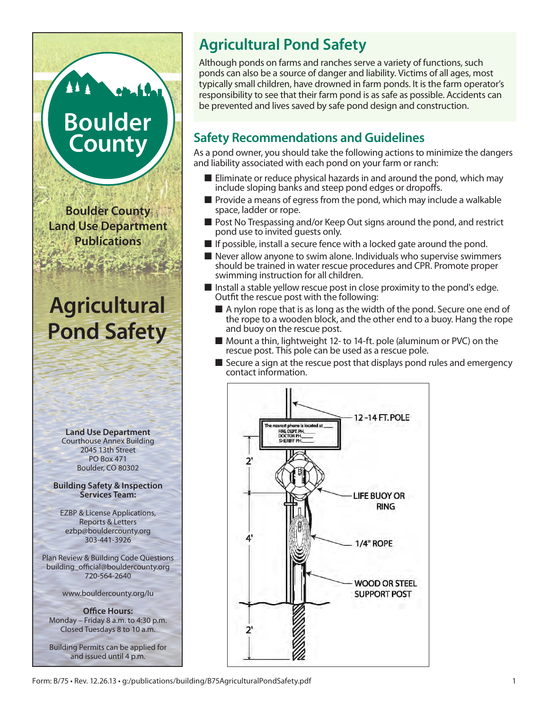# **Boulder County**

**Boulder County Land Use Department Publications**

## **Agricultural Pond Safety**



### **Agricultural Pond Safety**

Although ponds on farms and ranches serve a variety of functions, such ponds can also be a source of danger and liability. Victims of all ages, most typically small children, have drowned in farm ponds. It is the farm operator's responsibility to see that their farm pond is as safe as possible. Accidents can be prevented and lives saved by safe pond design and construction.

#### **Safety Recommendations and Guidelines**

As a pond owner, you should take the following actions to minimize the dangers and liability associated with each pond on your farm or ranch:

- $\blacksquare$  Eliminate or reduce physical hazards in and around the pond, which may include sloping banks and steep pond edges or dropoffs.
- $\blacksquare$  Provide a means of egress from the pond, which may include a walkable space, ladder or rope.
- **Post No Trespassing and/or Keep Out signs around the pond, and restrict** pond use to invited guests only.
- $\blacksquare$  If possible, install a secure fence with a locked gate around the pond.
- $\blacksquare$  Never allow anyone to swim alone. Individuals who supervise swimmers should be trained in water rescue procedures and CPR. Promote proper swimming instruction for all children.
- Install a stable yellow rescue post in close proximity to the pond's edge. Outfit the rescue post with the following:
	- $\blacksquare$  A nylon rope that is as long as the width of the pond. Secure one end of the rope to a wooden block, and the other end to a buoy. Hang the rope and buoy on the rescue post.
	- Mount a thin, lightweight 12- to 14-ft. pole (aluminum or PVC) on the rescue post. This pole can be used as a rescue pole.
	- $\blacksquare$  Secure a sign at the rescue post that displays pond rules and emergency contact information.